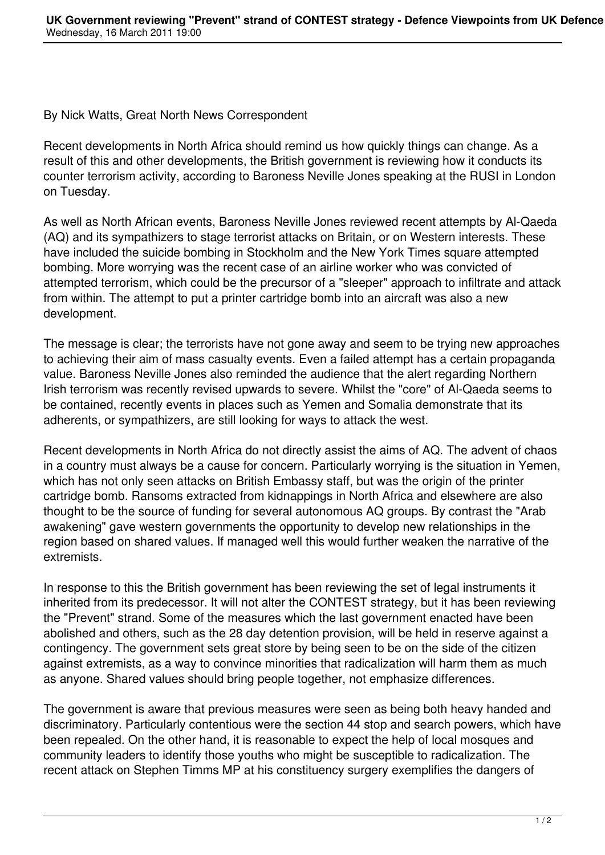By Nick Watts, Great North News Correspondent

Recent developments in North Africa should remind us how quickly things can change. As a result of this and other developments, the British government is reviewing how it conducts its counter terrorism activity, according to Baroness Neville Jones speaking at the RUSI in London on Tuesday.

As well as North African events, Baroness Neville Jones reviewed recent attempts by Al-Qaeda (AQ) and its sympathizers to stage terrorist attacks on Britain, or on Western interests. These have included the suicide bombing in Stockholm and the New York Times square attempted bombing. More worrying was the recent case of an airline worker who was convicted of attempted terrorism, which could be the precursor of a "sleeper" approach to infiltrate and attack from within. The attempt to put a printer cartridge bomb into an aircraft was also a new development.

The message is clear; the terrorists have not gone away and seem to be trying new approaches to achieving their aim of mass casualty events. Even a failed attempt has a certain propaganda value. Baroness Neville Jones also reminded the audience that the alert regarding Northern Irish terrorism was recently revised upwards to severe. Whilst the "core" of Al-Qaeda seems to be contained, recently events in places such as Yemen and Somalia demonstrate that its adherents, or sympathizers, are still looking for ways to attack the west.

Recent developments in North Africa do not directly assist the aims of AQ. The advent of chaos in a country must always be a cause for concern. Particularly worrying is the situation in Yemen, which has not only seen attacks on British Embassy staff, but was the origin of the printer cartridge bomb. Ransoms extracted from kidnappings in North Africa and elsewhere are also thought to be the source of funding for several autonomous AQ groups. By contrast the "Arab awakening" gave western governments the opportunity to develop new relationships in the region based on shared values. If managed well this would further weaken the narrative of the extremists.

In response to this the British government has been reviewing the set of legal instruments it inherited from its predecessor. It will not alter the CONTEST strategy, but it has been reviewing the "Prevent" strand. Some of the measures which the last government enacted have been abolished and others, such as the 28 day detention provision, will be held in reserve against a contingency. The government sets great store by being seen to be on the side of the citizen against extremists, as a way to convince minorities that radicalization will harm them as much as anyone. Shared values should bring people together, not emphasize differences.

The government is aware that previous measures were seen as being both heavy handed and discriminatory. Particularly contentious were the section 44 stop and search powers, which have been repealed. On the other hand, it is reasonable to expect the help of local mosques and community leaders to identify those youths who might be susceptible to radicalization. The recent attack on Stephen Timms MP at his constituency surgery exemplifies the dangers of